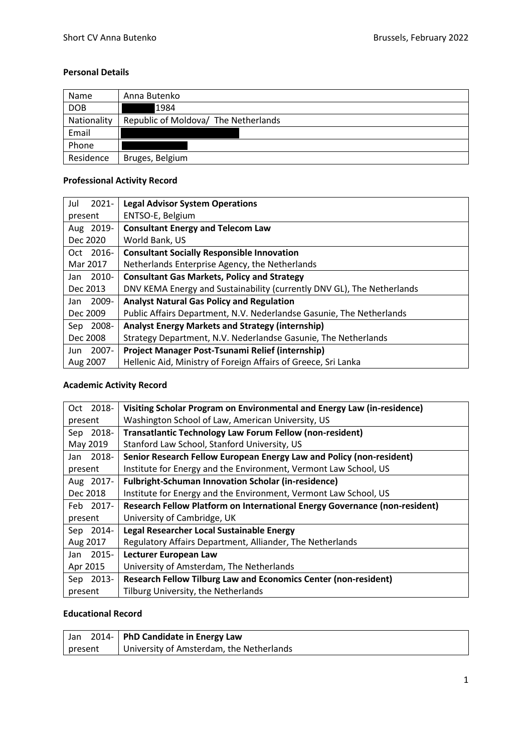### **Personal Details**

| Name        | Anna Butenko                         |
|-------------|--------------------------------------|
| <b>DOB</b>  | 1984                                 |
| Nationality | Republic of Moldova/ The Netherlands |
| Email       |                                      |
| Phone       |                                      |
| Residence   | Bruges, Belgium                      |

# **Professional Activity Record**

| $2021 -$<br>Jul  | <b>Legal Advisor System Operations</b>                                 |
|------------------|------------------------------------------------------------------------|
| present          | ENTSO-E, Belgium                                                       |
| Aug 2019-        | <b>Consultant Energy and Telecom Law</b>                               |
| Dec 2020         | World Bank, US                                                         |
| Oct 2016-        | <b>Consultant Socially Responsible Innovation</b>                      |
| Mar 2017         | Netherlands Enterprise Agency, the Netherlands                         |
| $2010 -$<br>Jan  | <b>Consultant Gas Markets, Policy and Strategy</b>                     |
| Dec 2013         | DNV KEMA Energy and Sustainability (currently DNV GL), The Netherlands |
| 2009-<br>Jan     | <b>Analyst Natural Gas Policy and Regulation</b>                       |
| Dec 2009         | Public Affairs Department, N.V. Nederlandse Gasunie, The Netherlands   |
| Sep 2008-        | <b>Analyst Energy Markets and Strategy (internship)</b>                |
| Dec 2008         | Strategy Department, N.V. Nederlandse Gasunie, The Netherlands         |
| $2007 -$<br>Jun. | Project Manager Post-Tsunami Relief (internship)                       |
| Aug 2007         | Hellenic Aid, Ministry of Foreign Affairs of Greece, Sri Lanka         |

## **Academic Activity Record**

| Oct 2018- | Visiting Scholar Program on Environmental and Energy Law (in-residence)    |
|-----------|----------------------------------------------------------------------------|
| present   | Washington School of Law, American University, US                          |
| Sep 2018- | <b>Transatlantic Technology Law Forum Fellow (non-resident)</b>            |
| May 2019  | Stanford Law School, Stanford University, US                               |
| Jan 2018- | Senior Research Fellow European Energy Law and Policy (non-resident)       |
| present   | Institute for Energy and the Environment, Vermont Law School, US           |
| Aug 2017- | <b>Fulbright-Schuman Innovation Scholar (in-residence)</b>                 |
| Dec 2018  | Institute for Energy and the Environment, Vermont Law School, US           |
| Feb 2017- | Research Fellow Platform on International Energy Governance (non-resident) |
| present   | University of Cambridge, UK                                                |
| Sep 2014- | Legal Researcher Local Sustainable Energy                                  |
| Aug 2017  | Regulatory Affairs Department, Alliander, The Netherlands                  |
| Jan 2015- | Lecturer European Law                                                      |
| Apr 2015  | University of Amsterdam, The Netherlands                                   |
| Sep 2013- | Research Fellow Tilburg Law and Economics Center (non-resident)            |
| present   | Tilburg University, the Netherlands                                        |

## **Educational Record**

| Jan     | 2014-   PhD Candidate in Energy Law      |
|---------|------------------------------------------|
| present | University of Amsterdam, the Netherlands |